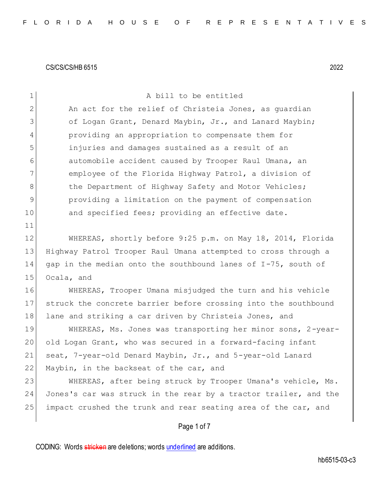| $\mathbf 1$    | A bill to be entitled                                            |
|----------------|------------------------------------------------------------------|
| $\overline{2}$ | An act for the relief of Christeia Jones, as quardian            |
| 3              | of Logan Grant, Denard Maybin, Jr., and Lanard Maybin;           |
| 4              | providing an appropriation to compensate them for                |
| 5              | injuries and damages sustained as a result of an                 |
| 6              | automobile accident caused by Trooper Raul Umana, an             |
| 7              | employee of the Florida Highway Patrol, a division of            |
| 8              | the Department of Highway Safety and Motor Vehicles;             |
| $\mathsf 9$    | providing a limitation on the payment of compensation            |
| 10             | and specified fees; providing an effective date.                 |
| 11             |                                                                  |
| 12             | WHEREAS, shortly before 9:25 p.m. on May 18, 2014, Florida       |
| 13             | Highway Patrol Trooper Raul Umana attempted to cross through a   |
| 14             | gap in the median onto the southbound lanes of I-75, south of    |
| 15             | Ocala, and                                                       |
| 16             | WHEREAS, Trooper Umana misjudged the turn and his vehicle        |
| 17             | struck the concrete barrier before crossing into the southbound  |
| 18             | lane and striking a car driven by Christeia Jones, and           |
| 19             | WHEREAS, Ms. Jones was transporting her minor sons, 2-year-      |
| 20             | old Logan Grant, who was secured in a forward-facing infant      |
| 21             | seat, 7-year-old Denard Maybin, Jr., and 5-year-old Lanard       |
| 22             | Maybin, in the backseat of the car, and                          |
| 23             | WHEREAS, after being struck by Trooper Umana's vehicle, Ms.      |
| 24             | Jones's car was struck in the rear by a tractor trailer, and the |
| 25             | impact crushed the trunk and rear seating area of the car, and   |
|                | Page 1 of 7                                                      |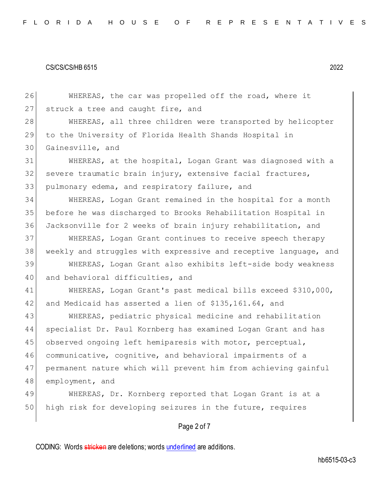26 WHEREAS, the car was propelled off the road, where it 27 struck a tree and caught fire, and 28 WHEREAS, all three children were transported by helicopter 29 to the University of Florida Health Shands Hospital in 30 Gainesville, and 31 WHEREAS, at the hospital, Logan Grant was diagnosed with a 32 severe traumatic brain injury, extensive facial fractures, 33 pulmonary edema, and respiratory failure, and 34 WHEREAS, Logan Grant remained in the hospital for a month 35 before he was discharged to Brooks Rehabilitation Hospital in 36 Jacksonville for 2 weeks of brain injury rehabilitation, and 37 WHEREAS, Logan Grant continues to receive speech therapy 38 weekly and struggles with expressive and receptive language, and 39 WHEREAS, Logan Grant also exhibits left-side body weakness 40 and behavioral difficulties, and 41 WHEREAS, Logan Grant's past medical bills exceed \$310,000, 42 and Medicaid has asserted a lien of \$135,161.64, and 43 WHEREAS, pediatric physical medicine and rehabilitation 44 specialist Dr. Paul Kornberg has examined Logan Grant and has 45 observed ongoing left hemiparesis with motor, perceptual, 46 communicative, cognitive, and behavioral impairments of a 47 permanent nature which will prevent him from achieving gainful 48 employment, and 49 WHEREAS, Dr. Kornberg reported that Logan Grant is at a 50 high risk for developing seizures in the future, requires

## Page 2 of 7

CODING: Words stricken are deletions; words underlined are additions.

hb6515-03-c3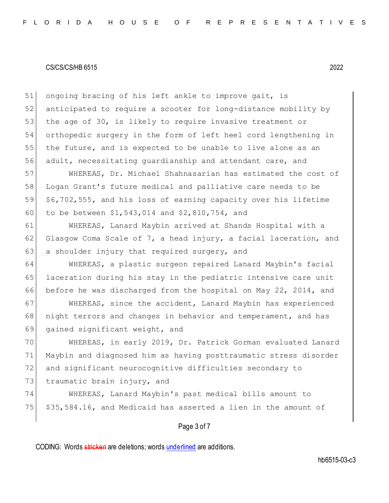51 ongoing bracing of his left ankle to improve gait, is 52 anticipated to require a scooter for long-distance mobility by 53 the age of 30, is likely to require invasive treatment or 54 orthopedic surgery in the form of left heel cord lengthening in 55 the future, and is expected to be unable to live alone as an 56 adult, necessitating guardianship and attendant care, and

 WHEREAS, Dr. Michael Shahnasarian has estimated the cost of Logan Grant's future medical and palliative care needs to be \$6,702,555, and his loss of earning capacity over his lifetime to be between \$1,543,014 and \$2,810,754, and

61 WHEREAS, Lanard Maybin arrived at Shands Hospital with a 62 Glasgow Coma Scale of 7, a head injury, a facial laceration, and 63 a shoulder injury that required surgery, and

64 WHEREAS, a plastic surgeon repaired Lanard Maybin's facial 65 laceration during his stay in the pediatric intensive care unit 66 before he was discharged from the hospital on May 22, 2014, and

67 | WHEREAS, since the accident, Lanard Maybin has experienced 68 | night terrors and changes in behavior and temperament, and has 69 gained significant weight, and

 WHEREAS, in early 2019, Dr. Patrick Gorman evaluated Lanard Maybin and diagnosed him as having posttraumatic stress disorder and significant neurocognitive difficulties secondary to 73 traumatic brain injury, and

74 WHEREAS, Lanard Maybin's past medical bills amount to 75 \$35,584.16, and Medicaid has asserted a lien in the amount of

## Page 3 of 7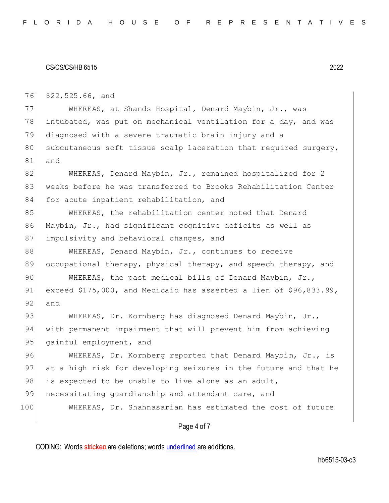76 \$22,525.66, and

77 WHEREAS, at Shands Hospital, Denard Maybin, Jr., was 78 intubated, was put on mechanical ventilation for a day, and was 79 diagnosed with a severe traumatic brain injury and a 80 subcutaneous soft tissue scalp laceration that required surgery, 81 and

82 WHEREAS, Denard Maybin, Jr., remained hospitalized for 2 83 weeks before he was transferred to Brooks Rehabilitation Center 84 for acute inpatient rehabilitation, and

85 WHEREAS, the rehabilitation center noted that Denard 86 Maybin, Jr., had significant cognitive deficits as well as 87 impulsivity and behavioral changes, and

88 WHEREAS, Denard Maybin, Jr., continues to receive 89 occupational therapy, physical therapy, and speech therapy, and

90 WHEREAS, the past medical bills of Denard Maybin, Jr., 91 exceed \$175,000, and Medicaid has asserted a lien of \$96,833.99, 92 and

93 WHEREAS, Dr. Kornberg has diagnosed Denard Maybin, Jr., 94 with permanent impairment that will prevent him from achieving 95 gainful employment, and

96 WHEREAS, Dr. Kornberg reported that Denard Maybin, Jr., is 97 at a high risk for developing seizures in the future and that he 98 is expected to be unable to live alone as an adult,

99 necessitating quardianship and attendant care, and

100 WHEREAS, Dr. Shahnasarian has estimated the cost of future

### Page 4 of 7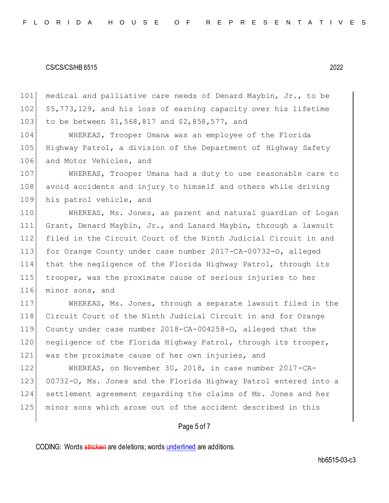medical and palliative care needs of Denard Maybin, Jr., to be \$5,773,129, and his loss of earning capacity over his lifetime 103 to be between \$1,568,817 and \$2,858,577, and

 WHEREAS, Trooper Umana was an employee of the Florida Highway Patrol, a division of the Department of Highway Safety 106 and Motor Vehicles, and

 WHEREAS, Trooper Umana had a duty to use reasonable care to avoid accidents and injury to himself and others while driving 109 his patrol vehicle, and

 WHEREAS, Ms. Jones, as parent and natural guardian of Logan Grant, Denard Maybin, Jr., and Lanard Maybin, through a lawsuit filed in the Circuit Court of the Ninth Judicial Circuit in and for Orange County under case number 2017-CA-00732-O, alleged that the negligence of the Florida Highway Patrol, through its trooper, was the proximate cause of serious injuries to her 116 minor sons, and

 WHEREAS, Ms. Jones, through a separate lawsuit filed in the Circuit Court of the Ninth Judicial Circuit in and for Orange County under case number 2018-CA-004258-O, alleged that the 120 negligence of the Florida Highway Patrol, through its trooper, was the proximate cause of her own injuries, and

 WHEREAS, on November 30, 2018, in case number 2017-CA-123 00732-O, Ms. Jones and the Florida Highway Patrol entered into a settlement agreement regarding the claims of Ms. Jones and her minor sons which arose out of the accident described in this

### Page 5 of 7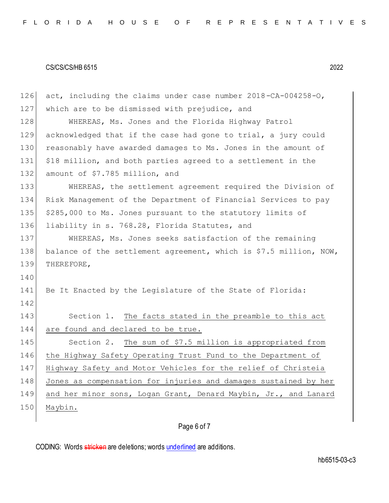| 126 | act, including the claims under case number 2018-CA-004258-O,     |
|-----|-------------------------------------------------------------------|
| 127 | which are to be dismissed with prejudice, and                     |
| 128 | WHEREAS, Ms. Jones and the Florida Highway Patrol                 |
| 129 | acknowledged that if the case had gone to trial, a jury could     |
| 130 | reasonably have awarded damages to Ms. Jones in the amount of     |
| 131 | \$18 million, and both parties agreed to a settlement in the      |
| 132 | amount of \$7.785 million, and                                    |
| 133 | WHEREAS, the settlement agreement required the Division of        |
| 134 | Risk Management of the Department of Financial Services to pay    |
| 135 | \$285,000 to Ms. Jones pursuant to the statutory limits of        |
| 136 | liability in s. 768.28, Florida Statutes, and                     |
| 137 | WHEREAS, Ms. Jones seeks satisfaction of the remaining            |
| 138 | balance of the settlement agreement, which is \$7.5 million, NOW, |
|     |                                                                   |
| 139 | THEREFORE,                                                        |
| 140 |                                                                   |
| 141 | Be It Enacted by the Legislature of the State of Florida:         |
| 142 |                                                                   |
| 143 | Section 1. The facts stated in the preamble to this act           |
| 144 | are found and declared to be true.                                |
| 145 | Section 2. The sum of \$7.5 million is appropriated from          |
| 146 | the Highway Safety Operating Trust Fund to the Department of      |
| 147 | Highway Safety and Motor Vehicles for the relief of Christeia     |
| 148 | Jones as compensation for injuries and damages sustained by her   |
| 149 | and her minor sons, Logan Grant, Denard Maybin, Jr., and Lanard   |
| 150 | Maybin.                                                           |

# Page 6 of 7